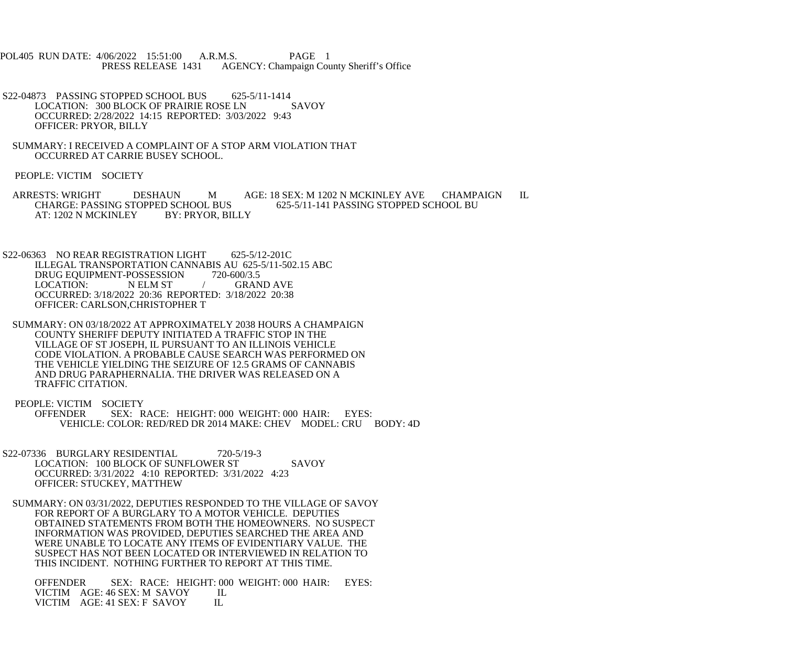POL405 RUN DATE: 4/06/2022 15:51:00 A.R.M.S. PAGE 1 PRESS RELEASE 1431 AGENCY: Champaign County Sheriff's Office

S22-04873 PASSING STOPPED SCHOOL BUS 625-5/11-1414<br>LOCATION: 300 BLOCK OF PRAIRIE ROSE LN SAVOY LOCATION: 300 BLOCK OF PRAIRIE ROSE LN OCCURRED: 2/28/2022 14:15 REPORTED: 3/03/2022 9:43 OFFICER: PRYOR, BILLY

 SUMMARY: I RECEIVED A COMPLAINT OF A STOP ARM VIOLATION THAT OCCURRED AT CARRIE BUSEY SCHOOL.

PEOPLE: VICTIM SOCIETY

 ARRESTS: WRIGHT DESHAUN M AGE: 18 SEX: M 1202 N MCKINLEY AVE CHAMPAIGN IL CHARGE: PASSING STOPPED SCHOOL BUS 625-5/11-141 PASSING STOPPED SCHOOL BU<br>AT: 1202 N MCKINLEY BY: PRYOR. BILLY AT: 1202 N MCKINLEY

S22-06363 NO REAR REGISTRATION LIGHT 625-5/12-201C ILLEGAL TRANSPORTATION CANNABIS AU 625-5/11-502.15 ABC<br>DRUG EOUIPMENT-POSSESSION 720-600/3.5 DRUG EQUIPMENT-POSSESSION<br>LOCATION: NELM ST / GRAND AVE OCCURRED: 3/18/2022 20:36 REPORTED: 3/18/2022 20:38 OFFICER: CARLSON,CHRISTOPHER T

 SUMMARY: ON 03/18/2022 AT APPROXIMATELY 2038 HOURS A CHAMPAIGN COUNTY SHERIFF DEPUTY INITIATED A TRAFFIC STOP IN THE VILLAGE OF ST JOSEPH, IL PURSUANT TO AN ILLINOIS VEHICLE CODE VIOLATION. A PROBABLE CAUSE SEARCH WAS PERFORMED ON THE VEHICLE YIELDING THE SEIZURE OF 12.5 GRAMS OF CANNABIS AND DRUG PARAPHERNALIA. THE DRIVER WAS RELEASED ON A TRAFFIC CITATION.

PEOPLE: VICTIM SOCIETY<br>OFFENDER SEX: R SEX: RACE: HEIGHT: 000 WEIGHT: 000 HAIR: EYES: VEHICLE: COLOR: RED/RED DR 2014 MAKE: CHEV MODEL: CRU BODY: 4D

S22-07336 BURGLARY RESIDENTIAL 720-5/19-3 LOCATION: 100 BLOCK OF SUNFLOWER ST SAVOY OCCURRED: 3/31/2022 4:10 REPORTED: 3/31/2022 4:23 OFFICER: STUCKEY, MATTHEW

 SUMMARY: ON 03/31/2022, DEPUTIES RESPONDED TO THE VILLAGE OF SAVOY FOR REPORT OF A BURGLARY TO A MOTOR VEHICLE. DEPUTIES OBTAINED STATEMENTS FROM BOTH THE HOMEOWNERS. NO SUSPECT INFORMATION WAS PROVIDED, DEPUTIES SEARCHED THE AREA AND WERE UNABLE TO LOCATE ANY ITEMS OF EVIDENTIARY VALUE. THE SUSPECT HAS NOT BEEN LOCATED OR INTERVIEWED IN RELATION TO THIS INCIDENT. NOTHING FURTHER TO REPORT AT THIS TIME.

 OFFENDER SEX: RACE: HEIGHT: 000 WEIGHT: 000 HAIR: EYES: VICTIM AGE: 46 SEX: M SAVOY IL<br>VICTIM AGE: 41 SEX: F SAVOY IL VICTIM AGE: 41 SEX: F SAVOY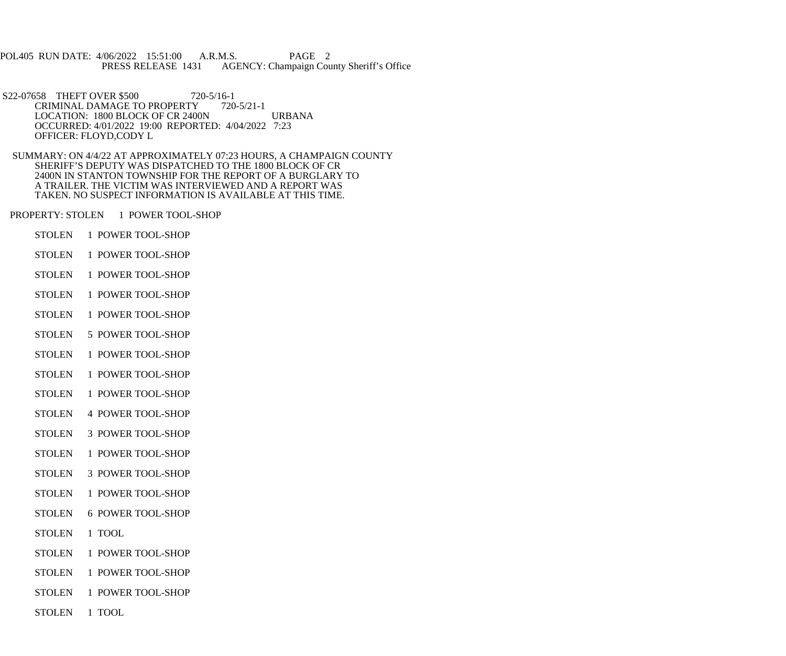POL405 RUN DATE: 4/06/2022 15:51:00 A.R.M.S. PAGE 2<br>PRESS RELEASE 1431 AGENCY: Champaign Cou AGENCY: Champaign County Sheriff's Office

S22-07658 THEFT OVER \$500 720-5/16-1<br>CRIMINAL DAMAGE TO PROPERTY 720-5/21-1 CRIMINAL DAMAGE TO PROPERTY LOCATION: 1800 BLOCK OF CR 2400N URBANA OCCURRED: 4/01/2022 19:00 REPORTED: 4/04/2022 7:23 OFFICER: FLOYD,CODY L

 SUMMARY: ON 4/4/22 AT APPROXIMATELY 07:23 HOURS, A CHAMPAIGN COUNTY SHERIFF'S DEPUTY WAS DISPATCHED TO THE 1800 BLOCK OF CR 2400N IN STANTON TOWNSHIP FOR THE REPORT OF A BURGLARY TO A TRAILER. THE VICTIM WAS INTERVIEWED AND A REPORT WAS TAKEN. NO SUSPECT INFORMATION IS AVAILABLE AT THIS TIME.

PROPERTY: STOLEN 1 POWER TOOL-SHOP

- STOLEN 1 POWER TOOL-SHOP
- STOLEN 1 POWER TOOL-SHOP
- STOLEN 1 POWER TOOL-SHOP
- STOLEN 1 POWER TOOL-SHOP
- STOLEN 1 POWER TOOL-SHOP
- STOLEN 5 POWER TOOL-SHOP
- STOLEN 1 POWER TOOL-SHOP
- STOLEN 1 POWER TOOL-SHOP
- STOLEN 1 POWER TOOL-SHOP
- STOLEN 4 POWER TOOL-SHOP
- STOLEN 3 POWER TOOL-SHOP
- STOLEN 1 POWER TOOL-SHOP
- STOLEN 3 POWER TOOL-SHOP
- STOLEN 1 POWER TOOL-SHOP
- STOLEN 6 POWER TOOL-SHOP
- STOLEN 1 TOOL
- STOLEN 1 POWER TOOL-SHOP
- STOLEN 1 POWER TOOL-SHOP
- STOLEN 1 POWER TOOL-SHOP
- STOLEN 1 TOOL